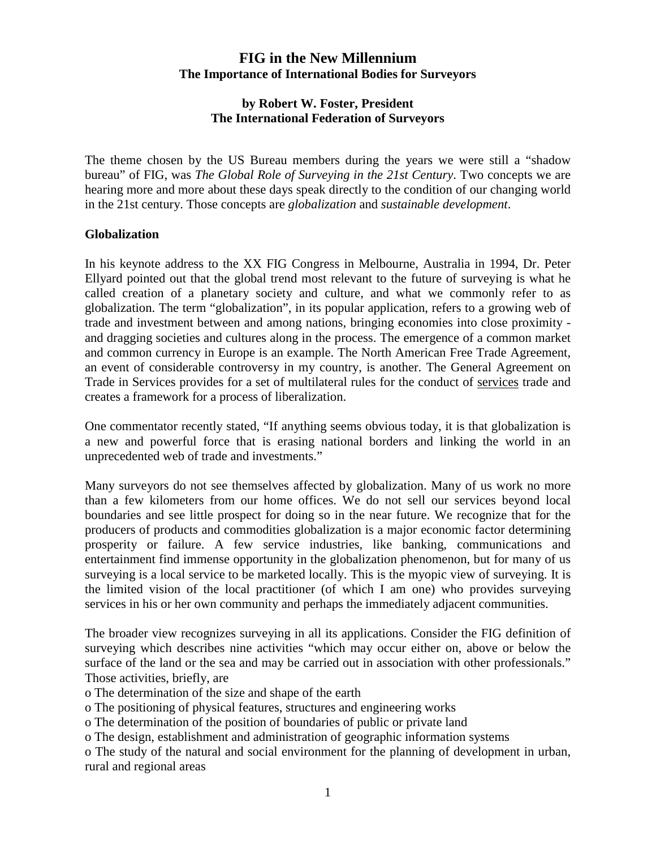# **FIG in the New Millennium The Importance of International Bodies for Surveyors**

## **by Robert W. Foster, President The International Federation of Surveyors**

The theme chosen by the US Bureau members during the years we were still a "shadow bureau" of FIG, was *The Global Role of Surveying in the 21st Century*. Two concepts we are hearing more and more about these days speak directly to the condition of our changing world in the 21st century. Those concepts are *globalization* and *sustainable development*.

#### **Globalization**

In his keynote address to the XX FIG Congress in Melbourne, Australia in 1994, Dr. Peter Ellyard pointed out that the global trend most relevant to the future of surveying is what he called creation of a planetary society and culture, and what we commonly refer to as globalization. The term "globalization", in its popular application, refers to a growing web of trade and investment between and among nations, bringing economies into close proximity and dragging societies and cultures along in the process. The emergence of a common market and common currency in Europe is an example. The North American Free Trade Agreement, an event of considerable controversy in my country, is another. The General Agreement on Trade in Services provides for a set of multilateral rules for the conduct of services trade and creates a framework for a process of liberalization.

One commentator recently stated, "If anything seems obvious today, it is that globalization is a new and powerful force that is erasing national borders and linking the world in an unprecedented web of trade and investments."

Many surveyors do not see themselves affected by globalization. Many of us work no more than a few kilometers from our home offices. We do not sell our services beyond local boundaries and see little prospect for doing so in the near future. We recognize that for the producers of products and commodities globalization is a major economic factor determining prosperity or failure. A few service industries, like banking, communications and entertainment find immense opportunity in the globalization phenomenon, but for many of us surveying is a local service to be marketed locally. This is the myopic view of surveying. It is the limited vision of the local practitioner (of which I am one) who provides surveying services in his or her own community and perhaps the immediately adjacent communities.

The broader view recognizes surveying in all its applications. Consider the FIG definition of surveying which describes nine activities "which may occur either on, above or below the surface of the land or the sea and may be carried out in association with other professionals." Those activities, briefly, are

o The determination of the size and shape of the earth

o The positioning of physical features, structures and engineering works

o The determination of the position of boundaries of public or private land

o The design, establishment and administration of geographic information systems

o The study of the natural and social environment for the planning of development in urban, rural and regional areas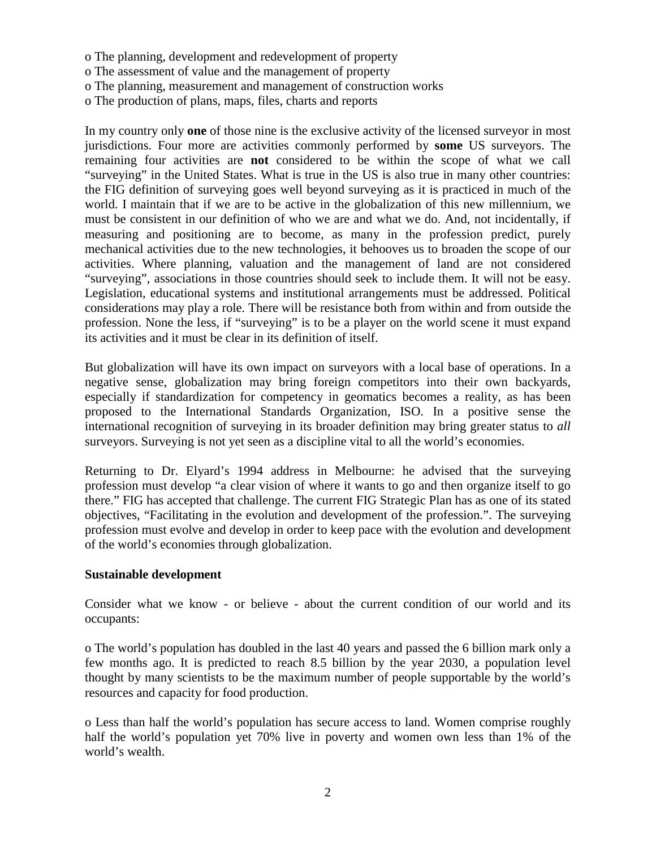- o The planning, development and redevelopment of property
- o The assessment of value and the management of property
- o The planning, measurement and management of construction works
- o The production of plans, maps, files, charts and reports

In my country only **one** of those nine is the exclusive activity of the licensed surveyor in most jurisdictions. Four more are activities commonly performed by **some** US surveyors. The remaining four activities are **not** considered to be within the scope of what we call "surveying" in the United States. What is true in the US is also true in many other countries: the FIG definition of surveying goes well beyond surveying as it is practiced in much of the world. I maintain that if we are to be active in the globalization of this new millennium, we must be consistent in our definition of who we are and what we do. And, not incidentally, if measuring and positioning are to become, as many in the profession predict, purely mechanical activities due to the new technologies, it behooves us to broaden the scope of our activities. Where planning, valuation and the management of land are not considered "surveying", associations in those countries should seek to include them. It will not be easy. Legislation, educational systems and institutional arrangements must be addressed. Political considerations may play a role. There will be resistance both from within and from outside the profession. None the less, if "surveying" is to be a player on the world scene it must expand its activities and it must be clear in its definition of itself.

But globalization will have its own impact on surveyors with a local base of operations. In a negative sense, globalization may bring foreign competitors into their own backyards, especially if standardization for competency in geomatics becomes a reality, as has been proposed to the International Standards Organization, ISO. In a positive sense the international recognition of surveying in its broader definition may bring greater status to *all* surveyors. Surveying is not yet seen as a discipline vital to all the world's economies.

Returning to Dr. Elyard's 1994 address in Melbourne: he advised that the surveying profession must develop "a clear vision of where it wants to go and then organize itself to go there." FIG has accepted that challenge. The current FIG Strategic Plan has as one of its stated objectives, "Facilitating in the evolution and development of the profession.". The surveying profession must evolve and develop in order to keep pace with the evolution and development of the world's economies through globalization.

#### **Sustainable development**

Consider what we know - or believe - about the current condition of our world and its occupants:

o The world's population has doubled in the last 40 years and passed the 6 billion mark only a few months ago. It is predicted to reach 8.5 billion by the year 2030, a population level thought by many scientists to be the maximum number of people supportable by the world's resources and capacity for food production.

o Less than half the world's population has secure access to land. Women comprise roughly half the world's population yet 70% live in poverty and women own less than 1% of the world's wealth.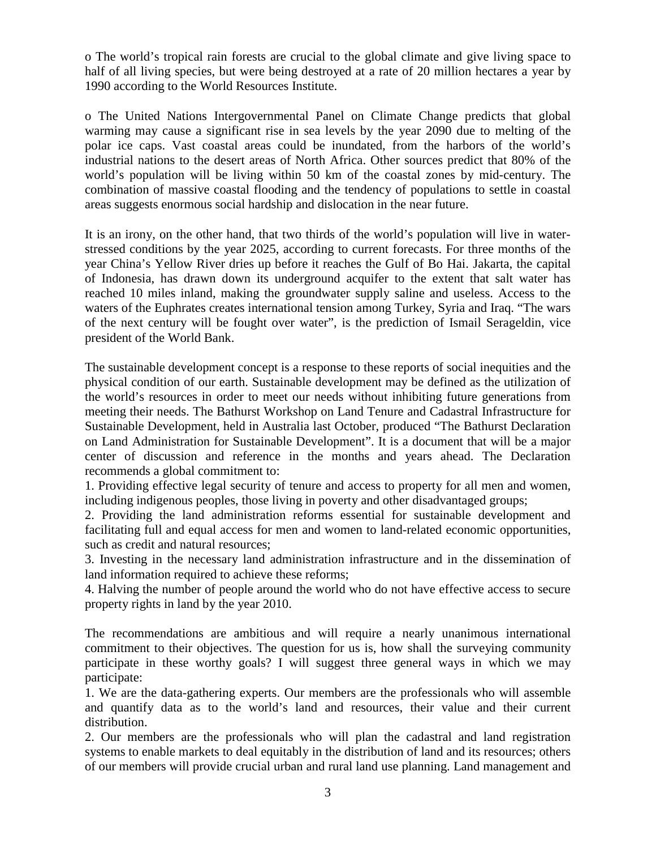o The world's tropical rain forests are crucial to the global climate and give living space to half of all living species, but were being destroyed at a rate of 20 million hectares a year by 1990 according to the World Resources Institute.

o The United Nations Intergovernmental Panel on Climate Change predicts that global warming may cause a significant rise in sea levels by the year 2090 due to melting of the polar ice caps. Vast coastal areas could be inundated, from the harbors of the world's industrial nations to the desert areas of North Africa. Other sources predict that 80% of the world's population will be living within 50 km of the coastal zones by mid-century. The combination of massive coastal flooding and the tendency of populations to settle in coastal areas suggests enormous social hardship and dislocation in the near future.

It is an irony, on the other hand, that two thirds of the world's population will live in waterstressed conditions by the year 2025, according to current forecasts. For three months of the year China's Yellow River dries up before it reaches the Gulf of Bo Hai. Jakarta, the capital of Indonesia, has drawn down its underground acquifer to the extent that salt water has reached 10 miles inland, making the groundwater supply saline and useless. Access to the waters of the Euphrates creates international tension among Turkey, Syria and Iraq. "The wars of the next century will be fought over water", is the prediction of Ismail Serageldin, vice president of the World Bank.

The sustainable development concept is a response to these reports of social inequities and the physical condition of our earth. Sustainable development may be defined as the utilization of the world's resources in order to meet our needs without inhibiting future generations from meeting their needs. The Bathurst Workshop on Land Tenure and Cadastral Infrastructure for Sustainable Development, held in Australia last October, produced "The Bathurst Declaration on Land Administration for Sustainable Development". It is a document that will be a major center of discussion and reference in the months and years ahead. The Declaration recommends a global commitment to:

1. Providing effective legal security of tenure and access to property for all men and women, including indigenous peoples, those living in poverty and other disadvantaged groups;

2. Providing the land administration reforms essential for sustainable development and facilitating full and equal access for men and women to land-related economic opportunities, such as credit and natural resources;

3. Investing in the necessary land administration infrastructure and in the dissemination of land information required to achieve these reforms;

4. Halving the number of people around the world who do not have effective access to secure property rights in land by the year 2010.

The recommendations are ambitious and will require a nearly unanimous international commitment to their objectives. The question for us is, how shall the surveying community participate in these worthy goals? I will suggest three general ways in which we may participate:

1. We are the data-gathering experts. Our members are the professionals who will assemble and quantify data as to the world's land and resources, their value and their current distribution.

2. Our members are the professionals who will plan the cadastral and land registration systems to enable markets to deal equitably in the distribution of land and its resources; others of our members will provide crucial urban and rural land use planning. Land management and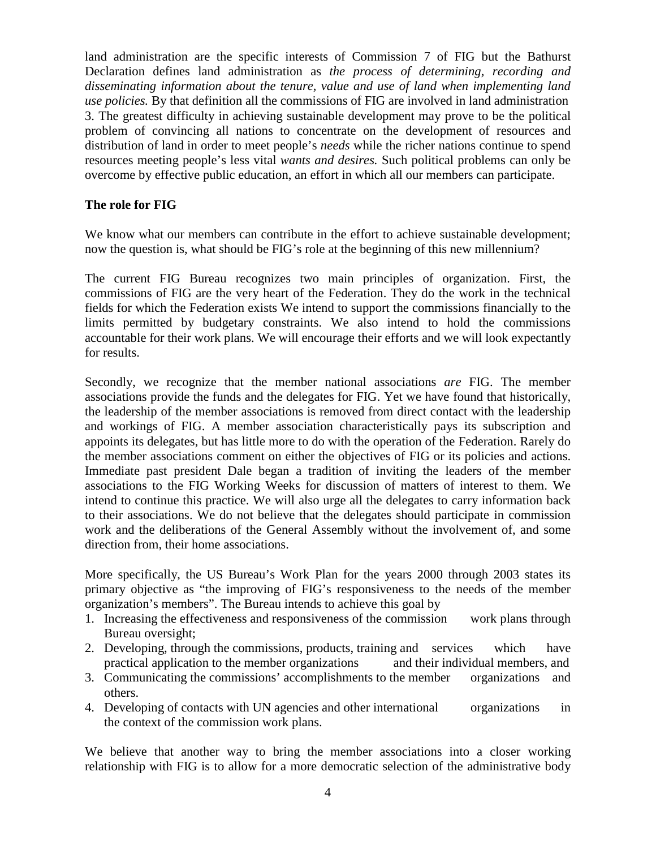land administration are the specific interests of Commission 7 of FIG but the Bathurst Declaration defines land administration as *the process of determining, recording and disseminating information about the tenure, value and use of land when implementing land use policies.* By that definition all the commissions of FIG are involved in land administration 3. The greatest difficulty in achieving sustainable development may prove to be the political problem of convincing all nations to concentrate on the development of resources and distribution of land in order to meet people's *needs* while the richer nations continue to spend resources meeting people's less vital *wants and desires.* Such political problems can only be overcome by effective public education, an effort in which all our members can participate.

#### **The role for FIG**

We know what our members can contribute in the effort to achieve sustainable development; now the question is, what should be FIG's role at the beginning of this new millennium?

The current FIG Bureau recognizes two main principles of organization. First, the commissions of FIG are the very heart of the Federation. They do the work in the technical fields for which the Federation exists We intend to support the commissions financially to the limits permitted by budgetary constraints. We also intend to hold the commissions accountable for their work plans. We will encourage their efforts and we will look expectantly for results.

Secondly, we recognize that the member national associations *are* FIG. The member associations provide the funds and the delegates for FIG. Yet we have found that historically, the leadership of the member associations is removed from direct contact with the leadership and workings of FIG. A member association characteristically pays its subscription and appoints its delegates, but has little more to do with the operation of the Federation. Rarely do the member associations comment on either the objectives of FIG or its policies and actions. Immediate past president Dale began a tradition of inviting the leaders of the member associations to the FIG Working Weeks for discussion of matters of interest to them. We intend to continue this practice. We will also urge all the delegates to carry information back to their associations. We do not believe that the delegates should participate in commission work and the deliberations of the General Assembly without the involvement of, and some direction from, their home associations.

More specifically, the US Bureau's Work Plan for the years 2000 through 2003 states its primary objective as "the improving of FIG's responsiveness to the needs of the member organization's members". The Bureau intends to achieve this goal by

- 1. Increasing the effectiveness and responsiveness of the commission work plans through Bureau oversight;
- 2. Developing, through the commissions, products, training and services which have practical application to the member organizations and their individual members, and
- 3. Communicating the commissions' accomplishments to the member organizations and others.
- 4. Developing of contacts with UN agencies and other international organizations in the context of the commission work plans.

We believe that another way to bring the member associations into a closer working relationship with FIG is to allow for a more democratic selection of the administrative body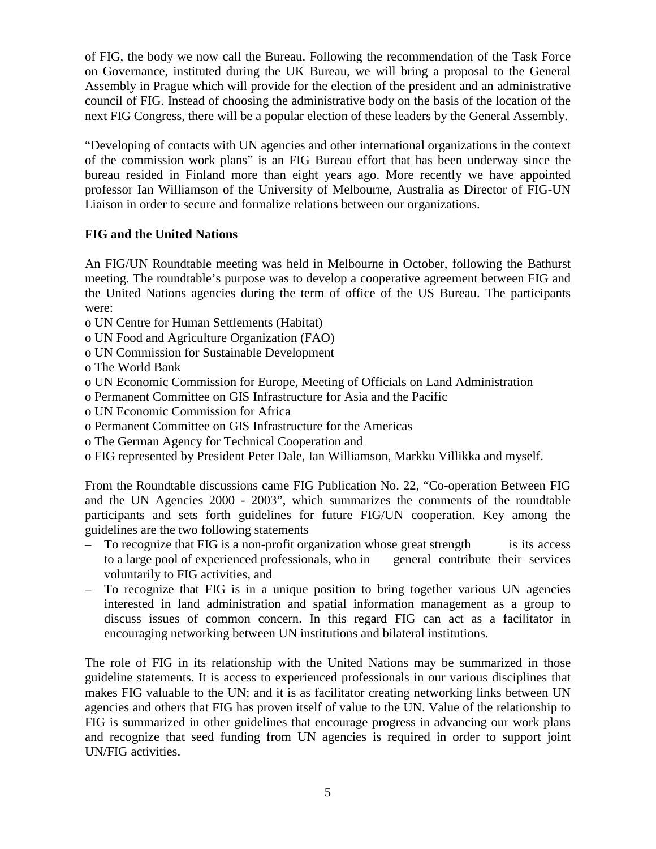of FIG, the body we now call the Bureau. Following the recommendation of the Task Force on Governance, instituted during the UK Bureau, we will bring a proposal to the General Assembly in Prague which will provide for the election of the president and an administrative council of FIG. Instead of choosing the administrative body on the basis of the location of the next FIG Congress, there will be a popular election of these leaders by the General Assembly.

"Developing of contacts with UN agencies and other international organizations in the context of the commission work plans" is an FIG Bureau effort that has been underway since the bureau resided in Finland more than eight years ago. More recently we have appointed professor Ian Williamson of the University of Melbourne, Australia as Director of FIG-UN Liaison in order to secure and formalize relations between our organizations.

### **FIG and the United Nations**

An FIG/UN Roundtable meeting was held in Melbourne in October, following the Bathurst meeting. The roundtable's purpose was to develop a cooperative agreement between FIG and the United Nations agencies during the term of office of the US Bureau. The participants were:

- o UN Centre for Human Settlements (Habitat)
- o UN Food and Agriculture Organization (FAO)
- o UN Commission for Sustainable Development
- o The World Bank
- o UN Economic Commission for Europe, Meeting of Officials on Land Administration
- o Permanent Committee on GIS Infrastructure for Asia and the Pacific
- o UN Economic Commission for Africa
- o Permanent Committee on GIS Infrastructure for the Americas
- o The German Agency for Technical Cooperation and
- o FIG represented by President Peter Dale, Ian Williamson, Markku Villikka and myself.

From the Roundtable discussions came FIG Publication No. 22, "Co-operation Between FIG and the UN Agencies 2000 - 2003", which summarizes the comments of the roundtable participants and sets forth guidelines for future FIG/UN cooperation. Key among the guidelines are the two following statements

- To recognize that FIG is a non-profit organization whose great strength is its access to a large pool of experienced professionals, who in general contribute their services voluntarily to FIG activities, and
- To recognize that FIG is in a unique position to bring together various UN agencies interested in land administration and spatial information management as a group to discuss issues of common concern. In this regard FIG can act as a facilitator in encouraging networking between UN institutions and bilateral institutions.

The role of FIG in its relationship with the United Nations may be summarized in those guideline statements. It is access to experienced professionals in our various disciplines that makes FIG valuable to the UN; and it is as facilitator creating networking links between UN agencies and others that FIG has proven itself of value to the UN. Value of the relationship to FIG is summarized in other guidelines that encourage progress in advancing our work plans and recognize that seed funding from UN agencies is required in order to support joint UN/FIG activities.